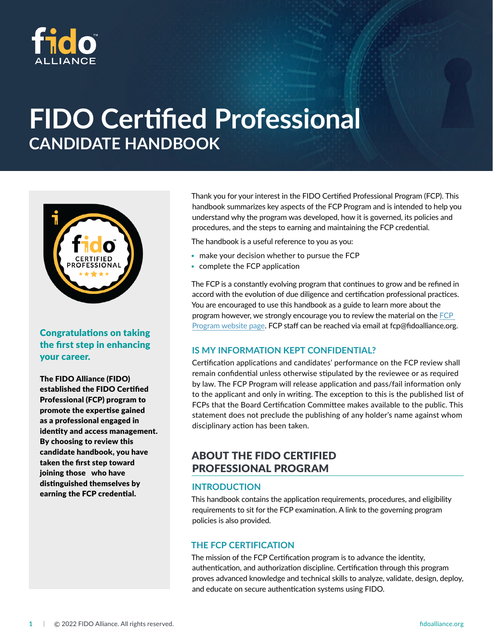

# **FIDO Certified Professional CANDIDATE HANDBOOK**



Congratulations on taking the first step in enhancing your career.

The FIDO Alliance (FIDO) established the FIDO Certified Professional (FCP) program to promote the expertise gained as a professional engaged in identity and access management. By choosing to review this candidate handbook, you have taken the first step toward joining those who have distinguished themselves by earning the FCP credential.

Thank you for your interest in the FIDO Certified Professional Program (FCP). This handbook summarizes key aspects of the FCP Program and is intended to help you understand why the program was developed, how it is governed, its policies and procedures, and the steps to earning and maintaining the FCP credential.

The handbook is a useful reference to you as you:

- make your decision whether to pursue the FCP
- complete the FCP application

The FCP is a constantly evolving program that continues to grow and be refined in accord with the evolution of due diligence and certification professional practices. You are encouraged to use this handbook as a guide to learn more about the program however, we strongly encourage you to review the material on the [FCP](https://fidoalliance.org/fido-certified-professional-program/)  [Program website page.](https://fidoalliance.org/fido-certified-professional-program/) FCP staff can be reached via email at fcp@fidoalliance.org.

#### **IS MY INFORMATION KEPT CONFIDENTIAL?**

Certification applications and candidates' performance on the FCP review shall remain confidential unless otherwise stipulated by the reviewee or as required by law. The FCP Program will release application and pass/fail information only to the applicant and only in writing. The exception to this is the published list of FCPs that the Board Certification Committee makes available to the public. This statement does not preclude the publishing of any holder's name against whom disciplinary action has been taken.

# ABOUT THE FIDO CERTIFIED PROFESSIONAL PROGRAM

#### **INTRODUCTION**

This handbook contains the application requirements, procedures, and eligibility requirements to sit for the FCP examination. A link to the governing program policies is also provided.

## **THE FCP CERTIFICATION**

The mission of the FCP Certification program is to advance the identity, authentication, and authorization discipline. Certification through this program proves advanced knowledge and technical skills to analyze, validate, design, deploy, and educate on secure authentication systems using FIDO.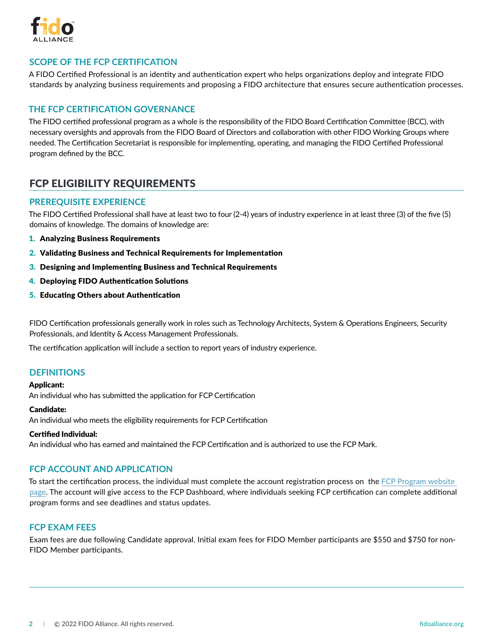

# **SCOPE OF THE FCP CERTIFICATION**

A FIDO Certified Professional is an identity and authentication expert who helps organizations deploy and integrate FIDO standards by analyzing business requirements and proposing a FIDO architecture that ensures secure authentication processes.

# **THE FCP CERTIFICATION GOVERNANCE**

The FIDO certified professional program as a whole is the responsibility of the FIDO Board Certification Committee (BCC), with necessary oversights and approvals from the FIDO Board of Directors and collaboration with other FIDO Working Groups where needed. The Certification Secretariat is responsible for implementing, operating, and managing the FIDO Certified Professional program defined by the BCC.

# FCP ELIGIBILITY REQUIREMENTS

# **PREREQUISITE EXPERIENCE**

The FIDO Certified Professional shall have at least two to four (2-4) years of industry experience in at least three (3) of the five (5) domains of knowledge. The domains of knowledge are:

- 1. Analyzing Business Requirements
- 2. Validating Business and Technical Requirements for Implementation
- 3. Designing and Implementing Business and Technical Requirements
- 4. Deploying FIDO Authentication Solutions
- 5. Educating Others about Authentication

FIDO Certification professionals generally work in roles such as Technology Architects, System & Operations Engineers, Security Professionals, and Identity & Access Management Professionals.

The certification application will include a section to report years of industry experience.

#### **DEFINITIONS**

#### Applicant:

An individual who has submitted the application for FCP Certification

#### Candidate:

An individual who meets the eligibility requirements for FCP Certification

#### Certified Individual:

An individual who has earned and maintained the FCP Certification and is authorized to use the FCP Mark.

# **FCP ACCOUNT AND APPLICATION**

To start the certification process, the individual must complete the account registration process on the FCP Program website [page](https://fidoalliance.org/fido-certified-professional-program/). The account will give access to the FCP Dashboard, where individuals seeking FCP certification can complete additional program forms and see deadlines and status updates.

#### **FCP EXAM FEES**

Exam fees are due following Candidate approval. Initial exam fees for FIDO Member participants are \$550 and \$750 for non-FIDO Member participants.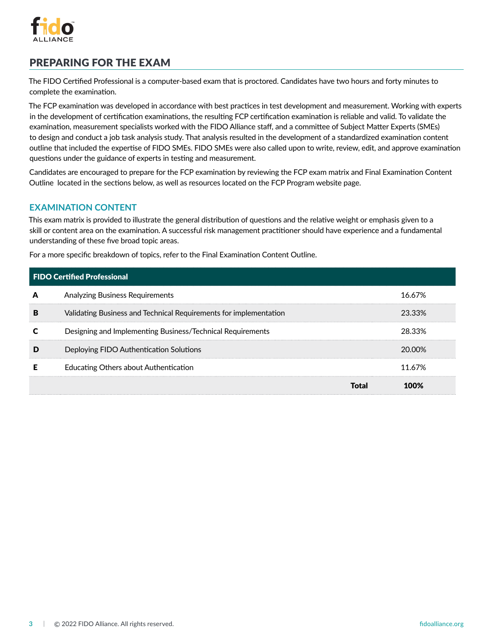

# PREPARING FOR THE EXAM

The FIDO Certified Professional is a computer-based exam that is proctored. Candidates have two hours and forty minutes to complete the examination.

The FCP examination was developed in accordance with best practices in test development and measurement. Working with experts in the development of certification examinations, the resulting FCP certification examination is reliable and valid. To validate the examination, measurement specialists worked with the FIDO Alliance staff, and a committee of Subject Matter Experts (SMEs) to design and conduct a job task analysis study. That analysis resulted in the development of a standardized examination content outline that included the expertise of FIDO SMEs. FIDO SMEs were also called upon to write, review, edit, and approve examination questions under the guidance of experts in testing and measurement.

Candidates are encouraged to prepare for the FCP examination by reviewing the FCP exam matrix and Final Examination Content Outline located in the sections below, as well as resources located on the FCP Program website page.

# **EXAMINATION CONTENT**

This exam matrix is provided to illustrate the general distribution of questions and the relative weight or emphasis given to a skill or content area on the examination. A successful risk management practitioner should have experience and a fundamental understanding of these five broad topic areas.

For a more specific breakdown of topics, refer to the Final Examination Content Outline.

| <b>FIDO Certified Professional</b> |                                                                   |  |        |
|------------------------------------|-------------------------------------------------------------------|--|--------|
|                                    | Analyzing Business Requirements                                   |  | 16 67% |
| в                                  | Validating Business and Technical Requirements for implementation |  | 23 33% |
|                                    | Designing and Implementing Business/Technical Requirements        |  | 28.33% |
|                                    | Deploying FIDO Authentication Solutions                           |  | ንበ በበ% |
|                                    | Educating Others about Authentication                             |  | 11 67% |
|                                    |                                                                   |  |        |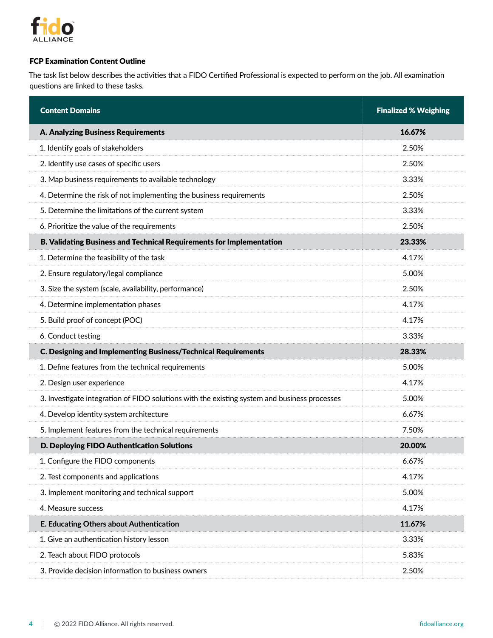

# FCP Examination Content Outline

The task list below describes the activities that a FIDO Certified Professional is expected to perform on the job. All examination questions are linked to these tasks.

| <b>Content Domains</b>                                                                       | <b>Finalized % Weighing</b> |
|----------------------------------------------------------------------------------------------|-----------------------------|
| <b>A. Analyzing Business Requirements</b>                                                    | 16.67%                      |
| 1. Identify goals of stakeholders                                                            | 2.50%                       |
| 2. Identify use cases of specific users                                                      | 2.50%                       |
| 3. Map business requirements to available technology                                         | 3.33%                       |
| 4. Determine the risk of not implementing the business requirements                          | 2.50%                       |
| 5. Determine the limitations of the current system                                           | 3.33%                       |
| 6. Prioritize the value of the requirements                                                  | 2.50%                       |
| B. Validating Business and Technical Requirements for Implementation                         | 23.33%                      |
| 1. Determine the feasibility of the task                                                     | 4.17%                       |
| 2. Ensure regulatory/legal compliance                                                        | 5.00%                       |
| 3. Size the system (scale, availability, performance)                                        | 2.50%                       |
| 4. Determine implementation phases                                                           | 4.17%                       |
| 5. Build proof of concept (POC)                                                              | 4.17%                       |
| 6. Conduct testing                                                                           | 3.33%                       |
| <b>C. Designing and Implementing Business/Technical Requirements</b>                         | 28.33%                      |
| 1. Define features from the technical requirements                                           | 5.00%                       |
| 2. Design user experience                                                                    | 4.17%                       |
| 3. Investigate integration of FIDO solutions with the existing system and business processes | 5.00%                       |
| 4. Develop identity system architecture                                                      | 6.67%                       |
| 5. Implement features from the technical requirements                                        | 7.50%                       |
| D. Deploying FIDO Authentication Solutions                                                   | 20.00%                      |
| 1. Configure the FIDO components                                                             | 6.67%                       |
| 2. Test components and applications                                                          | 4.17%                       |
| 3. Implement monitoring and technical support                                                | 5.00%                       |
| 4. Measure success                                                                           | 4.17%                       |
| E. Educating Others about Authentication                                                     | 11.67%                      |
| 1. Give an authentication history lesson                                                     | 3.33%                       |
| 2. Teach about FIDO protocols                                                                | 5.83%                       |
| 3. Provide decision information to business owners                                           | 2.50%                       |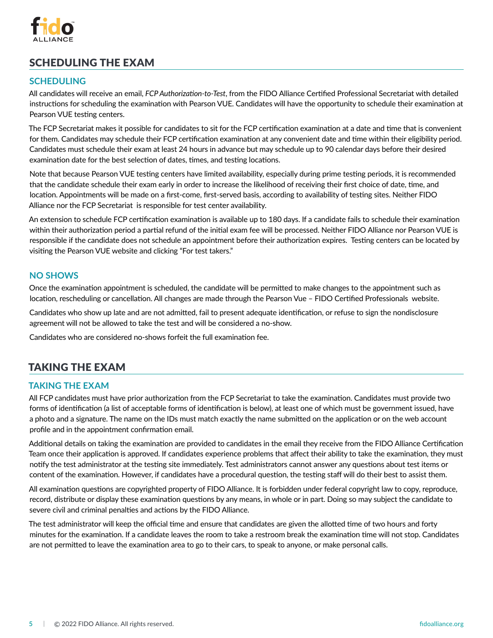

# SCHEDULING THE EXAM

# **SCHEDULING**

All candidates will receive an email, *FCP Authorization-to-Test*, from the FIDO Alliance Certified Professional Secretariat with detailed instructions for scheduling the examination with Pearson VUE. Candidates will have the opportunity to schedule their examination at Pearson VUE testing centers.

The FCP Secretariat makes it possible for candidates to sit for the FCP certification examination at a date and time that is convenient for them. Candidates may schedule their FCP certification examination at any convenient date and time within their eligibility period. Candidates must schedule their exam at least 24 hours in advance but may schedule up to 90 calendar days before their desired examination date for the best selection of dates, times, and testing locations.

Note that because Pearson VUE testing centers have limited availability, especially during prime testing periods, it is recommended that the candidate schedule their exam early in order to increase the likelihood of receiving their first choice of date, time, and location. Appointments will be made on a first-come, first-served basis, according to availability of testing sites. Neither FIDO Alliance nor the FCP Secretariat is responsible for test center availability.

An extension to schedule FCP certification examination is available up to 180 days. If a candidate fails to schedule their examination within their authorization period a partial refund of the initial exam fee will be processed. Neither FIDO Alliance nor Pearson VUE is responsible if the candidate does not schedule an appointment before their authorization expires. Testing centers can be located by visiting the Pearson VUE website and clicking "For test takers."

## **NO SHOWS**

Once the examination appointment is scheduled, the candidate will be permitted to make changes to the appointment such as location, rescheduling or cancellation. All changes are made through the Pearson Vue – FIDO Certified Professionals website.

Candidates who show up late and are not admitted, fail to present adequate identification, or refuse to sign the nondisclosure agreement will not be allowed to take the test and will be considered a no-show.

Candidates who are considered no-shows forfeit the full examination fee.

# TAKING THE EXAM

# **TAKING THE EXAM**

All FCP candidates must have prior authorization from the FCP Secretariat to take the examination. Candidates must provide two forms of identification (a list of acceptable forms of identification is below), at least one of which must be government issued, have a photo and a signature. The name on the IDs must match exactly the name submitted on the application or on the web account profile and in the appointment confirmation email.

Additional details on taking the examination are provided to candidates in the email they receive from the FIDO Alliance Certification Team once their application is approved. If candidates experience problems that affect their ability to take the examination, they must notify the test administrator at the testing site immediately. Test administrators cannot answer any questions about test items or content of the examination. However, if candidates have a procedural question, the testing staff will do their best to assist them.

All examination questions are copyrighted property of FIDO Alliance. It is forbidden under federal copyright law to copy, reproduce, record, distribute or display these examination questions by any means, in whole or in part. Doing so may subject the candidate to severe civil and criminal penalties and actions by the FIDO Alliance.

The test administrator will keep the official time and ensure that candidates are given the allotted time of two hours and forty minutes for the examination. If a candidate leaves the room to take a restroom break the examination time will not stop. Candidates are not permitted to leave the examination area to go to their cars, to speak to anyone, or make personal calls.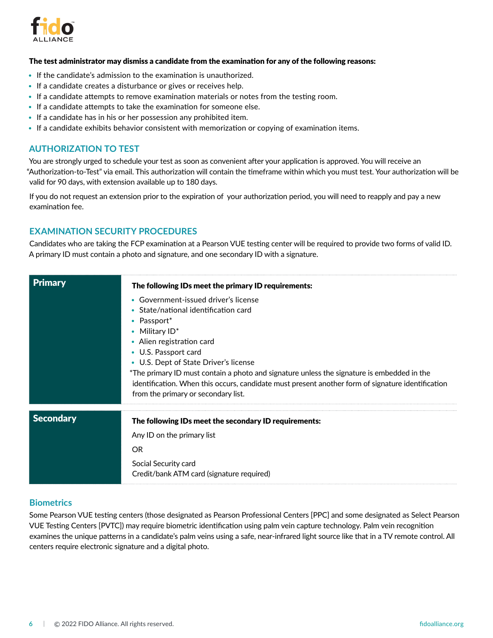

#### The test administrator may dismiss a candidate from the examination for any of the following reasons:

- If the candidate's admission to the examination is unauthorized.
- If a candidate creates a disturbance or gives or receives help.
- If a candidate attempts to remove examination materials or notes from the testing room.
- If a candidate attempts to take the examination for someone else.
- If a candidate has in his or her possession any prohibited item.
- If a candidate exhibits behavior consistent with memorization or copying of examination items.

## **AUTHORIZATION TO TEST**

You are strongly urged to schedule your test as soon as convenient after your application is approved. You will receive an "Authorization-to-Test" via email. This authorization will contain the timeframe within which you must test. Your authorization will be valid for 90 days, with extension available up to 180 days.

If you do not request an extension prior to the expiration of your authorization period, you will need to reapply and pay a new examination fee.

# **EXAMINATION SECURITY PROCEDURES**

Candidates who are taking the FCP examination at a Pearson VUE testing center will be required to provide two forms of valid ID. A primary ID must contain a photo and signature, and one secondary ID with a signature.

| <b>Primary</b>   | The following IDs meet the primary ID requirements:                                                                                 |
|------------------|-------------------------------------------------------------------------------------------------------------------------------------|
|                  | • Government-issued driver's license                                                                                                |
|                  | • State/national identification card                                                                                                |
|                  | • Passport*                                                                                                                         |
|                  | • Military ID*                                                                                                                      |
|                  | • Alien registration card                                                                                                           |
|                  | • U.S. Passport card                                                                                                                |
|                  | • U.S. Dept of State Driver's license<br>*The primary ID must contain a photo and signature unless the signature is embedded in the |
|                  | identification. When this occurs, candidate must present another form of signature identification                                   |
|                  | from the primary or secondary list.                                                                                                 |
| <b>Secondary</b> | The following IDs meet the secondary ID requirements:                                                                               |
|                  | Any ID on the primary list                                                                                                          |
|                  | <b>OR</b>                                                                                                                           |
|                  | Social Security card                                                                                                                |
|                  | Credit/bank ATM card (signature required)                                                                                           |

#### **Biometrics**

Some Pearson VUE testing centers (those designated as Pearson Professional Centers [PPC] and some designated as Select Pearson VUE Testing Centers [PVTC]) may require biometric identification using palm vein capture technology. Palm vein recognition examines the unique patterns in a candidate's palm veins using a safe, near-infrared light source like that in a TV remote control. All centers require electronic signature and a digital photo.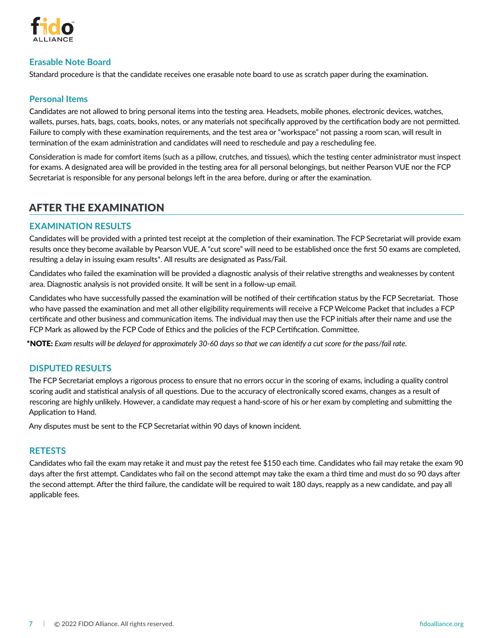

# **Erasable Note Board**

Standard procedure is that the candidate receives one erasable note board to use as scratch paper during the examination.

# **Personal Items**

Candidates are not allowed to bring personal items into the testing area. Headsets, mobile phones, electronic devices, watches, wallets, purses, hats, bags, coats, books, notes, or any materials not specifically approved by the certification body are not permitted. Failure to comply with these examination requirements, and the test area or "workspace" not passing a room scan, will result in termination of the exam administration and candidates will need to reschedule and pay a rescheduling fee.

Consideration is made for comfort items (such as a pillow, crutches, and tissues), which the testing center administrator must inspect for exams. A designated area will be provided in the testing area for all personal belongings, but neither Pearson VUE nor the FCP Secretariat is responsible for any personal belongs left in the area before, during or after the examination.

# AFTER THE EXAMINATION

# **EXAMINATION RESULTS**

Candidates will be provided with a printed test receipt at the completion of their examination. The FCP Secretariat will provide exam results once they become available by Pearson VUE. A "cut score" will need to be established once the first 50 exams are completed, resulting a delay in issuing exam results\*. All results are designated as Pass/Fail.

Candidates who failed the examination will be provided a diagnostic analysis of their relative strengths and weaknesses by content area. Diagnostic analysis is not provided onsite. It will be sent in a follow-up email.

Candidates who have successfully passed the examination will be notified of their certification status by the FCP Secretariat. Those who have passed the examination and met all other eligibility requirements will receive a FCP Welcome Packet that includes a FCP certificate and other business and communication items. The individual may then use the FCP initials after their name and use the FCP Mark as allowed by the FCP Code of Ethics and the policies of the FCP Certification. Committee.

\*NOTE: *Exam results will be delayed for approximately 30-60 days so that we can identify a cut score for the pass/fail rate.*

# **DISPUTED RESULTS**

The FCP Secretariat employs a rigorous process to ensure that no errors occur in the scoring of exams, including a quality control scoring audit and statistical analysis of all questions. Due to the accuracy of electronically scored exams, changes as a result of rescoring are highly unlikely. However, a candidate may request a hand-score of his or her exam by completing and submitting the Application to Hand.

Any disputes must be sent to the FCP Secretariat within 90 days of known incident.

# **RETESTS**

Candidates who fail the exam may retake it and must pay the retest fee \$150 each time. Candidates who fail may retake the exam 90 days after the first attempt. Candidates who fail on the second attempt may take the exam a third time and must do so 90 days after the second attempt. After the third failure, the candidate will be required to wait 180 days, reapply as a new candidate, and pay all applicable fees.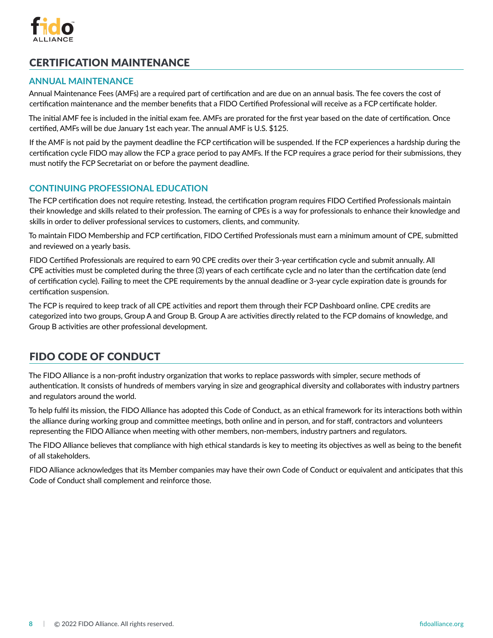

# CERTIFICATION MAINTENANCE

# **ANNUAL MAINTENANCE**

Annual Maintenance Fees (AMFs) are a required part of certification and are due on an annual basis. The fee covers the cost of certification maintenance and the member benefits that a FIDO Certified Professional will receive as a FCP certificate holder.

The initial AMF fee is included in the initial exam fee. AMFs are prorated for the first year based on the date of certification. Once certified, AMFs will be due January 1st each year. The annual AMF is U.S. \$125.

If the AMF is not paid by the payment deadline the FCP certification will be suspended. If the FCP experiences a hardship during the certification cycle FIDO may allow the FCP a grace period to pay AMFs. If the FCP requires a grace period for their submissions, they must notify the FCP Secretariat on or before the payment deadline.

# **CONTINUING PROFESSIONAL EDUCATION**

The FCP certification does not require retesting. Instead, the certification program requires FIDO Certified Professionals maintain their knowledge and skills related to their profession. The earning of CPEs is a way for professionals to enhance their knowledge and skills in order to deliver professional services to customers, clients, and community.

To maintain FIDO Membership and FCP certification, FIDO Certified Professionals must earn a minimum amount of CPE, submitted and reviewed on a yearly basis.

FIDO Certified Professionals are required to earn 90 CPE credits over their 3-year certification cycle and submit annually. All CPE activities must be completed during the three (3) years of each certificate cycle and no later than the certification date (end of certification cycle). Failing to meet the CPE requirements by the annual deadline or 3-year cycle expiration date is grounds for certification suspension.

The FCP is required to keep track of all CPE activities and report them through their FCP Dashboard online. CPE credits are categorized into two groups, Group A and Group B. Group A are activities directly related to the FCP domains of knowledge, and Group B activities are other professional development.

# FIDO CODE OF CONDUCT

The FIDO Alliance is a non-profit industry organization that works to replace passwords with simpler, secure methods of authentication. It consists of hundreds of members varying in size and geographical diversity and collaborates with industry partners and regulators around the world.

To help fulfil its mission, the FIDO Alliance has adopted this Code of Conduct, as an ethical framework for its interactions both within the alliance during working group and committee meetings, both online and in person, and for staff, contractors and volunteers representing the FIDO Alliance when meeting with other members, non-members, industry partners and regulators.

The FIDO Alliance believes that compliance with high ethical standards is key to meeting its objectives as well as being to the benefit of all stakeholders.

FIDO Alliance acknowledges that its Member companies may have their own Code of Conduct or equivalent and anticipates that this Code of Conduct shall complement and reinforce those.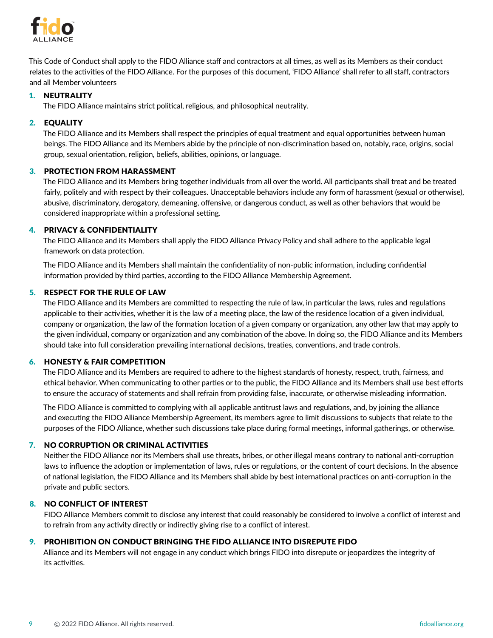

This Code of Conduct shall apply to the FIDO Alliance staff and contractors at all times, as well as its Members as their conduct relates to the activities of the FIDO Alliance. For the purposes of this document, 'FIDO Alliance' shall refer to all staff, contractors and all Member volunteers

#### 1. NEUTRALITY

The FIDO Alliance maintains strict political, religious, and philosophical neutrality.

## 2. EQUALITY

The FIDO Alliance and its Members shall respect the principles of equal treatment and equal opportunities between human beings. The FIDO Alliance and its Members abide by the principle of non-discrimination based on, notably, race, origins, social group, sexual orientation, religion, beliefs, abilities, opinions, or language.

## 3. PROTECTION FROM HARASSMENT

The FIDO Alliance and its Members bring together individuals from all over the world. All participants shall treat and be treated fairly, politely and with respect by their colleagues. Unacceptable behaviors include any form of harassment (sexual or otherwise), abusive, discriminatory, derogatory, demeaning, offensive, or dangerous conduct, as well as other behaviors that would be considered inappropriate within a professional setting.

#### 4. PRIVACY & CONFIDENTIALITY

The FIDO Alliance and its Members shall apply the FIDO Alliance Privacy Policy and shall adhere to the applicable legal framework on data protection.

The FIDO Alliance and its Members shall maintain the confidentiality of non-public information, including confidential information provided by third parties, according to the FIDO Alliance Membership Agreement.

## 5. RESPECT FOR THE RULE OF LAW

The FIDO Alliance and its Members are committed to respecting the rule of law, in particular the laws, rules and regulations applicable to their activities, whether it is the law of a meeting place, the law of the residence location of a given individual, company or organization, the law of the formation location of a given company or organization, any other law that may apply to the given individual, company or organization and any combination of the above. In doing so, the FIDO Alliance and its Members should take into full consideration prevailing international decisions, treaties, conventions, and trade controls.

# 6. HONESTY & FAIR COMPETITION

The FIDO Alliance and its Members are required to adhere to the highest standards of honesty, respect, truth, fairness, and ethical behavior. When communicating to other parties or to the public, the FIDO Alliance and its Members shall use best efforts to ensure the accuracy of statements and shall refrain from providing false, inaccurate, or otherwise misleading information.

The FIDO Alliance is committed to complying with all applicable antitrust laws and regulations, and, by joining the alliance and executing the FIDO Alliance Membership Agreement, its members agree to limit discussions to subjects that relate to the purposes of the FIDO Alliance, whether such discussions take place during formal meetings, informal gatherings, or otherwise.

# 7. NO CORRUPTION OR CRIMINAL ACTIVITIES

Neither the FIDO Alliance nor its Members shall use threats, bribes, or other illegal means contrary to national anti-corruption laws to influence the adoption or implementation of laws, rules or regulations, or the content of court decisions. In the absence of national legislation, the FIDO Alliance and its Members shall abide by best international practices on anti-corruption in the private and public sectors.

#### 8. NO CONFLICT OF INTEREST

FIDO Alliance Members commit to disclose any interest that could reasonably be considered to involve a conflict of interest and to refrain from any activity directly or indirectly giving rise to a conflict of interest.

#### 9. PROHIBITION ON CONDUCT BRINGING THE FIDO ALLIANCE INTO DISREPUTE FIDO

Alliance and its Members will not engage in any conduct which brings FIDO into disrepute or jeopardizes the integrity of its activities.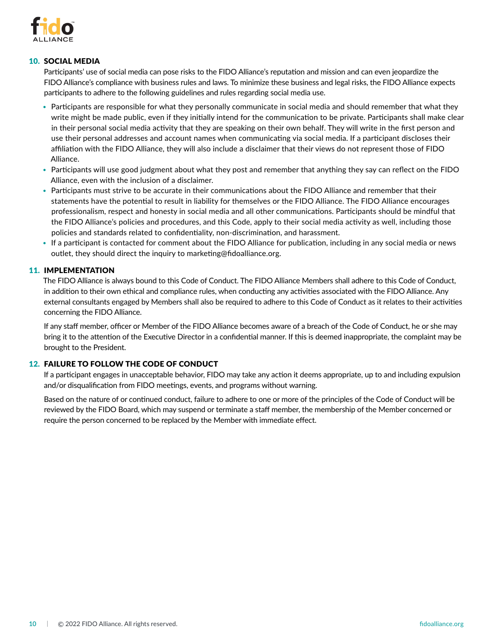

## 10. SOCIAL MEDIA

Participants' use of social media can pose risks to the FIDO Alliance's reputation and mission and can even jeopardize the FIDO Alliance's compliance with business rules and laws. To minimize these business and legal risks, the FIDO Alliance expects participants to adhere to the following guidelines and rules regarding social media use.

- Participants are responsible for what they personally communicate in social media and should remember that what they write might be made public, even if they initially intend for the communication to be private. Participants shall make clear in their personal social media activity that they are speaking on their own behalf. They will write in the first person and use their personal addresses and account names when communicating via social media. If a participant discloses their affiliation with the FIDO Alliance, they will also include a disclaimer that their views do not represent those of FIDO Alliance.
- Participants will use good judgment about what they post and remember that anything they say can reflect on the FIDO Alliance, even with the inclusion of a disclaimer.
- Participants must strive to be accurate in their communications about the FIDO Alliance and remember that their statements have the potential to result in liability for themselves or the FIDO Alliance. The FIDO Alliance encourages professionalism, respect and honesty in social media and all other communications. Participants should be mindful that the FIDO Alliance's policies and procedures, and this Code, apply to their social media activity as well, including those policies and standards related to confidentiality, non-discrimination, and harassment.
- If a participant is contacted for comment about the FIDO Alliance for publication, including in any social media or news outlet, they should direct the inquiry to marketing@fidoalliance.org.

#### 11. IMPLEMENTATION

The FIDO Alliance is always bound to this Code of Conduct. The FIDO Alliance Members shall adhere to this Code of Conduct, in addition to their own ethical and compliance rules, when conducting any activities associated with the FIDO Alliance. Any external consultants engaged by Members shall also be required to adhere to this Code of Conduct as it relates to their activities concerning the FIDO Alliance.

If any staff member, officer or Member of the FIDO Alliance becomes aware of a breach of the Code of Conduct, he or she may bring it to the attention of the Executive Director in a confidential manner. If this is deemed inappropriate, the complaint may be brought to the President.

#### 12. FAILURE TO FOLLOW THE CODE OF CONDUCT

If a participant engages in unacceptable behavior, FIDO may take any action it deems appropriate, up to and including expulsion and/or disqualification from FIDO meetings, events, and programs without warning.

Based on the nature of or continued conduct, failure to adhere to one or more of the principles of the Code of Conduct will be reviewed by the FIDO Board, which may suspend or terminate a staff member, the membership of the Member concerned or require the person concerned to be replaced by the Member with immediate effect.